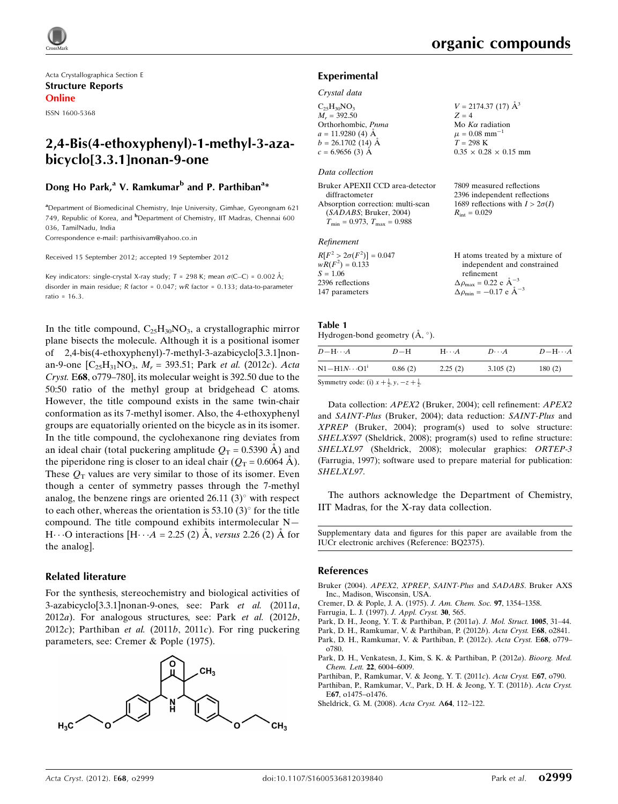Acta Crystallographica Section E Structure Reports Online

ISSN 1600-5368

# 2,4-Bis(4-ethoxyphenyl)-1-methyl-3-azabicyclo[3.3.1]nonan-9-one

## Dong Ho Park,<sup>a</sup> V. Ramkumar<sup>b</sup> and P. Parthiban<sup>a</sup>\*

<sup>a</sup> Department of Biomedicinal Chemistry, Inje University, Gimhae, Gyeongnam 621 749, Republic of Korea, and <sup>b</sup>Department of Chemistry, IIT Madras, Chennai 600 036, TamilNadu, India

Correspondence e-mail: [parthisivam@yahoo.co.in](http://scripts.iucr.org/cgi-bin/cr.cgi?rm=pdfbb&cnor=bq2375&bbid=BB10)

Received 15 September 2012; accepted 19 September 2012

Key indicators: single-crystal X-ray study;  $T = 298$  K; mean  $\sigma$ (C–C) = 0.002 Å; disorder in main residue; R factor = 0.047; wR factor = 0.133; data-to-parameter ratio = 16.3.

In the title compound,  $C_{25}H_{30}NO_3$ , a crystallographic mirror plane bisects the molecule. Although it is a positional isomer of 2,4-bis(4-ethoxyphenyl)-7-methyl-3-azabicyclo[3.3.1]nonan-9-one  $[C_{25}H_{31}NO_3, M_r = 393.51$ ; Park *et al.* (2012c). Acta Cryst. E68, o779–780], its molecular weight is 392.50 due to the 50:50 ratio of the methyl group at bridgehead C atoms. However, the title compound exists in the same twin-chair conformation as its 7-methyl isomer. Also, the 4-ethoxyphenyl groups are equatorially oriented on the bicycle as in its isomer. In the title compound, the cyclohexanone ring deviates from an ideal chair (total puckering amplitude  $Q_T = 0.5390$  Å) and the piperidone ring is closer to an ideal chair ( $Q_T = 0.6064$  Å). These  $Q_T$  values are very similar to those of its isomer. Even though a center of symmetry passes through the 7-methyl analog, the benzene rings are oriented  $26.11$  (3) $^{\circ}$  with respect to each other, whereas the orientation is 53.10  $(3)^\circ$  for the title compound. The title compound exhibits intermolecular N— H $\cdots$ O interactions [H $\cdots$ A = 2.25 (2) Å, versus 2.26 (2) Å for the analog].

## Related literature

For the synthesis, stereochemistry and biological activities of 3-azabicyclo[3.3.1]nonan-9-ones, see: Park et al. (2011a, 2012a). For analogous structures, see: Park et al. (2012b, 2012c); Parthiban *et al.* (2011*b*, 2011*c*). For ring puckering parameters, see: Cremer & Pople (1975).



7809 measured reflections 2396 independent reflections 1689 reflections with  $I > 2\sigma(I)$ 

 $R_{\text{int}} = 0.029$ 

### Experimental

### Crystal data

 $C_{25}H_{30}NO_3$  $M_r = 392.50$ Orthorhombic, Pnma  $a = 11.9280$  (4) Å  $b = 26.1702$  (14) Å  $c = 6.9656(3)$  Å  $V = 2174.37(17)$   $\AA^3$  $Z = 4$ Mo  $K\alpha$  radiation  $\mu = 0.08$  mm<sup>-1</sup>  $T = 298 \text{ K}$  $0.35 \times 0.28 \times 0.15$  mm

### Data collection

| Bruker APEXII CCD area-detector         |  |
|-----------------------------------------|--|
| diffractometer                          |  |
| Absorption correction: multi-scan       |  |
| (SADABS; Bruker, 2004)                  |  |
| $T_{\min} = 0.973$ , $T_{\max} = 0.988$ |  |

### Refinement

| $R[F^2 > 2\sigma(F^2)] = 0.047$ | H atoms treated by a mixture of                              |
|---------------------------------|--------------------------------------------------------------|
| $wR(F^2) = 0.133$               | independent and constrained                                  |
| $S = 1.06$                      | refinement                                                   |
| 2396 reflections                | $\Delta \rho_{\text{max}} = 0.22 \text{ e } \text{\AA}^{-3}$ |
| 147 parameters                  | $\Delta \rho_{\text{min}} = -0.17$ e $\AA^{-3}$              |

### Table 1

| Hydrogen-bond geometry $(A, \circ)$ . |  |  |
|---------------------------------------|--|--|
|                                       |  |  |

| $D - H \cdots A$       | $D-H$   | $H\cdots A$ | $D\cdots A$ | $D - H \cdots A$ |
|------------------------|---------|-------------|-------------|------------------|
| $N1 - H1N \cdots O1^i$ | 0.86(2) | 2.25(2)     | 3.105(2)    | 180(2)           |
|                        |         |             |             |                  |

Symmetry code: (i)  $x + \frac{1}{2}$ ,  $y, -z + \frac{1}{2}$ .

Data collection: APEX2 (Bruker, 2004); cell refinement: APEX2 and SAINT-Plus (Bruker, 2004); data reduction: SAINT-Plus and XPREP (Bruker, 2004); program(s) used to solve structure: SHELXS97 (Sheldrick, 2008); program(s) used to refine structure: SHELXL97 (Sheldrick, 2008); molecular graphics: ORTEP-3 (Farrugia, 1997); software used to prepare material for publication: SHELXL97.

The authors acknowledge the Department of Chemistry, IIT Madras, for the X-ray data collection.

Supplementary data and figures for this paper are available from the IUCr electronic archives (Reference: BQ2375).

### References

- [Bruker \(2004\).](http://scripts.iucr.org/cgi-bin/cr.cgi?rm=pdfbb&cnor=bq2375&bbid=BB1) APEX2, XPREP, SAINT-Plus and SADABS. Bruker AXS [Inc., Madison, Wisconsin, USA.](http://scripts.iucr.org/cgi-bin/cr.cgi?rm=pdfbb&cnor=bq2375&bbid=BB1)
- [Cremer, D. & Pople, J. A. \(1975\).](http://scripts.iucr.org/cgi-bin/cr.cgi?rm=pdfbb&cnor=bq2375&bbid=BB2) J. Am. Chem. Soc. 97, 1354–1358.
- [Farrugia, L. J. \(1997\).](http://scripts.iucr.org/cgi-bin/cr.cgi?rm=pdfbb&cnor=bq2375&bbid=BB3) J. Appl. Cryst. 30, 565.
- [Park, D. H., Jeong, Y. T. & Parthiban, P. \(2011](http://scripts.iucr.org/cgi-bin/cr.cgi?rm=pdfbb&cnor=bq2375&bbid=BB4)a). J. Mol. Struct. 1005, 31–44.

[Park, D. H., Ramkumar, V. & Parthiban, P. \(2012](http://scripts.iucr.org/cgi-bin/cr.cgi?rm=pdfbb&cnor=bq2375&bbid=BB5)b). Acta Cryst. E68, o2841. [Park, D. H., Ramkumar, V. & Parthiban, P. \(2012](http://scripts.iucr.org/cgi-bin/cr.cgi?rm=pdfbb&cnor=bq2375&bbid=BB6)c). Acta Cryst. E68, o779– [o780.](http://scripts.iucr.org/cgi-bin/cr.cgi?rm=pdfbb&cnor=bq2375&bbid=BB6)

- [Park, D. H., Venkatesn, J., Kim, S. K. & Parthiban, P. \(2012](http://scripts.iucr.org/cgi-bin/cr.cgi?rm=pdfbb&cnor=bq2375&bbid=BB7)a). Bioorg. Med. Chem. Lett. 22[, 6004–6009.](http://scripts.iucr.org/cgi-bin/cr.cgi?rm=pdfbb&cnor=bq2375&bbid=BB7)
- [Parthiban, P., Ramkumar, V. & Jeong, Y. T. \(2011](http://scripts.iucr.org/cgi-bin/cr.cgi?rm=pdfbb&cnor=bq2375&bbid=BB8)c). Acta Cryst. E67, o790.
- [Parthiban, P., Ramkumar, V., Park, D. H. & Jeong, Y. T. \(2011](http://scripts.iucr.org/cgi-bin/cr.cgi?rm=pdfbb&cnor=bq2375&bbid=BB9)b). Acta Cryst. E67[, o1475–o1476.](http://scripts.iucr.org/cgi-bin/cr.cgi?rm=pdfbb&cnor=bq2375&bbid=BB9)
- [Sheldrick, G. M. \(2008\).](http://scripts.iucr.org/cgi-bin/cr.cgi?rm=pdfbb&cnor=bq2375&bbid=BB10) Acta Cryst. A64, 112–122.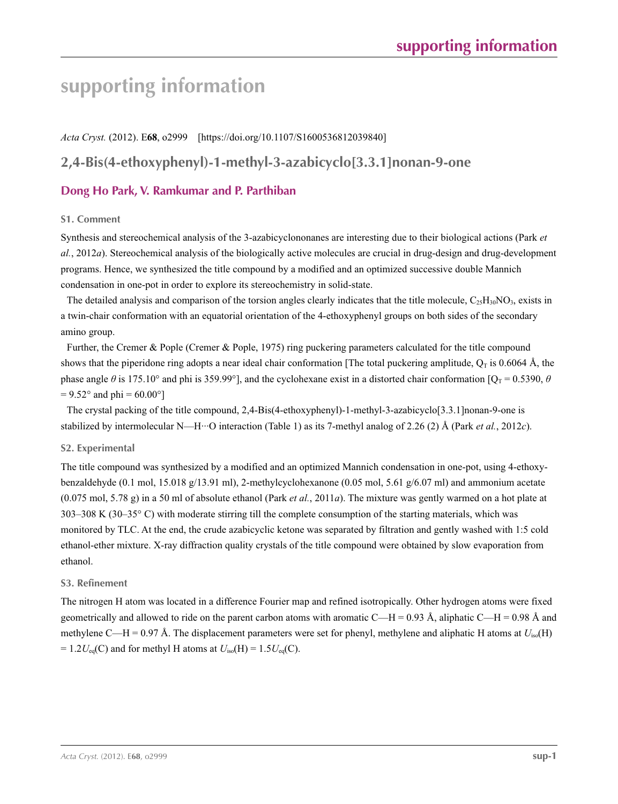# **supporting information**

*Acta Cryst.* (2012). E**68**, o2999 [https://doi.org/10.1107/S1600536812039840]

# **2,4-Bis(4-ethoxyphenyl)-1-methyl-3-azabicyclo[3.3.1]nonan-9-one**

# **Dong Ho Park, V. Ramkumar and P. Parthiban**

## **S1. Comment**

Synthesis and stereochemical analysis of the 3-azabicyclononanes are interesting due to their biological actions (Park *et al.*, 2012*a*). Stereochemical analysis of the biologically active molecules are crucial in drug-design and drug-development programs. Hence, we synthesized the title compound by a modified and an optimized successive double Mannich condensation in one-pot in order to explore its stereochemistry in solid-state.

The detailed analysis and comparison of the torsion angles clearly indicates that the title molecule,  $C_{25}H_{30}NO_3$ , exists in a twin-chair conformation with an equatorial orientation of the 4-ethoxyphenyl groups on both sides of the secondary amino group.

Further, the Cremer & Pople (Cremer & Pople, 1975) ring puckering parameters calculated for the title compound shows that the piperidone ring adopts a near ideal chair conformation [The total puckering amplitude,  $Q_T$  is 0.6064 Å, the phase angle  $\theta$  is 175.10° and phi is 359.99°], and the cyclohexane exist in a distorted chair conformation [Q<sub>T</sub> = 0.5390,  $\theta$  $= 9.52^{\circ}$  and phi = 60.00°]

The crystal packing of the title compound, 2,4-Bis(4-ethoxyphenyl)-1-methyl-3-azabicyclo[3.3.1]nonan-9-one is stabilized by intermolecular N—H···O interaction (Table 1) as its 7-methyl analog of 2.26 (2) Å (Park *et al.*, 2012*c*).

## **S2. Experimental**

The title compound was synthesized by a modified and an optimized Mannich condensation in one-pot, using 4-ethoxybenzaldehyde (0.1 mol, 15.018 g/13.91 ml), 2-methylcyclohexanone (0.05 mol, 5.61 g/6.07 ml) and ammonium acetate (0.075 mol, 5.78 g) in a 50 ml of absolute ethanol (Park *et al.*, 2011*a*). The mixture was gently warmed on a hot plate at 303–308 K (30–35° C) with moderate stirring till the complete consumption of the starting materials, which was monitored by TLC. At the end, the crude azabicyclic ketone was separated by filtration and gently washed with 1:5 cold ethanol-ether mixture. X-ray diffraction quality crystals of the title compound were obtained by slow evaporation from ethanol.

## **S3. Refinement**

The nitrogen H atom was located in a difference Fourier map and refined isotropically. Other hydrogen atoms were fixed geometrically and allowed to ride on the parent carbon atoms with aromatic C—H = 0.93 Å, aliphatic C—H = 0.98 Å and methylene C—H = 0.97 Å. The displacement parameters were set for phenyl, methylene and aliphatic H atoms at  $U_{iso}(H)$  $= 1.2 U_{eq}(C)$  and for methyl H atoms at  $U_{iso}(H) = 1.5 U_{eq}(C)$ .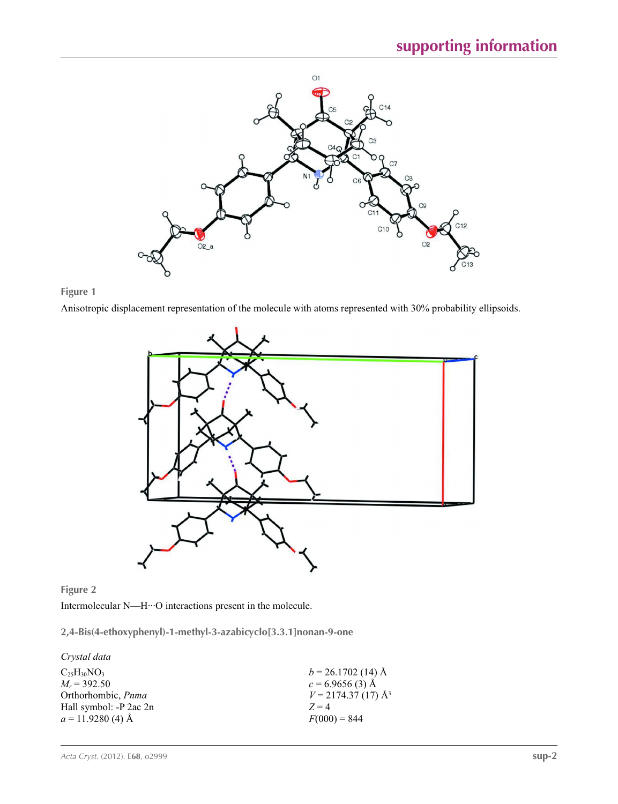



Anisotropic displacement representation of the molecule with atoms represented with 30% probability ellipsoids.





Intermolecular N—H···O interactions present in the molecule.

**2,4-Bis(4-ethoxyphenyl)-1-methyl-3-azabicyclo[3.3.1]nonan-9-one** 

*Crystal data*

| $b = 26.1702$ (14) Å             |
|----------------------------------|
| $c = 6.9656(3)$ Å                |
| $V = 2174.37(17)$ Å <sup>3</sup> |
| $Z = 4$                          |
| $F(000) = 844$                   |
|                                  |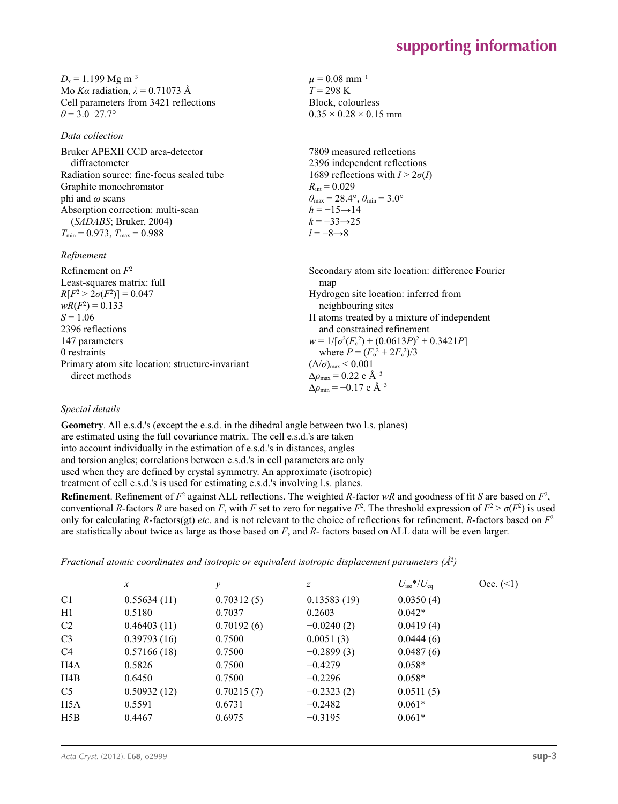$D_x = 1.199$  Mg m<sup>-3</sup> Mo *Kα* radiation,  $\lambda = 0.71073$  Å Cell parameters from 3421 reflections  $\theta$  = 3.0–27.7°

*Data collection*

Bruker APEXII CCD area-detector diffractometer Radiation source: fine-focus sealed tube Graphite monochromator phi and *ω* scans Absorption correction: multi-scan (*SADABS*; Bruker, 2004)  $T_{\text{min}} = 0.973$ ,  $T_{\text{max}} = 0.988$ 

*Refinement*

Refinement on *F*<sup>2</sup> Least-squares matrix: full *R*[ $F^2 > 2\sigma(F^2)$ ] = 0.047  $wR(F^2) = 0.133$  $S = 1.06$ 2396 reflections 147 parameters 0 restraints Primary atom site location: structure-invariant direct methods Secondary atom site location: difference Fourier map Hydrogen site location: inferred from neighbouring sites H atoms treated by a mixture of independent and constrained refinement  $w = 1/[\sigma^2 (F_o^2) + (0.0613P)^2 + 0.3421P]$ where  $P = (F_o^2 + 2F_c^2)/3$  $(\Delta/\sigma)_{\text{max}}$  < 0.001 Δ*ρ*max = 0.22 e Å−3  $\Delta \rho_{\rm min} = -0.17$  e Å<sup>-3</sup>

 $\mu = 0.08$  mm<sup>-1</sup>  $T = 298 \text{ K}$ Block, colourless  $0.35 \times 0.28 \times 0.15$  mm

 $R_{\text{int}} = 0.029$ 

 $h = -15 \rightarrow 14$  $k = -33 \rightarrow 25$ *l* = −8→8

7809 measured reflections 2396 independent reflections 1689 reflections with  $I > 2\sigma(I)$ 

 $\theta_{\text{max}} = 28.4^{\circ}, \theta_{\text{min}} = 3.0^{\circ}$ 

## *Special details*

**Geometry**. All e.s.d.'s (except the e.s.d. in the dihedral angle between two l.s. planes) are estimated using the full covariance matrix. The cell e.s.d.'s are taken into account individually in the estimation of e.s.d.'s in distances, angles and torsion angles; correlations between e.s.d.'s in cell parameters are only used when they are defined by crystal symmetry. An approximate (isotropic) treatment of cell e.s.d.'s is used for estimating e.s.d.'s involving l.s. planes.

**Refinement**. Refinement of  $F^2$  against ALL reflections. The weighted *R*-factor  $wR$  and goodness of fit *S* are based on  $F^2$ , conventional *R*-factors *R* are based on *F*, with *F* set to zero for negative  $F^2$ . The threshold expression of  $F^2 > \sigma(F^2)$  is used only for calculating *R*-factors(gt) *etc*. and is not relevant to the choice of reflections for refinement. *R*-factors based on *F*<sup>2</sup> are statistically about twice as large as those based on *F*, and *R*- factors based on ALL data will be even larger.

| Fractional atomic coordinates and isotropic or equivalent isotropic displacement parameters ( $\AA^2$ ) |  |  |  |  |  |  |  |
|---------------------------------------------------------------------------------------------------------|--|--|--|--|--|--|--|
|---------------------------------------------------------------------------------------------------------|--|--|--|--|--|--|--|

|                  | $\mathcal{X}$ | v          | Ζ            | $U_{\rm iso}*/U_{\rm eq}$ | Occ. (2) |
|------------------|---------------|------------|--------------|---------------------------|----------|
| C <sub>1</sub>   | 0.55634(11)   | 0.70312(5) | 0.13583(19)  | 0.0350(4)                 |          |
| H1               | 0.5180        | 0.7037     | 0.2603       | $0.042*$                  |          |
| C <sub>2</sub>   | 0.46403(11)   | 0.70192(6) | $-0.0240(2)$ | 0.0419(4)                 |          |
| C <sub>3</sub>   | 0.39793(16)   | 0.7500     | 0.0051(3)    | 0.0444(6)                 |          |
| C <sub>4</sub>   | 0.57166(18)   | 0.7500     | $-0.2899(3)$ | 0.0487(6)                 |          |
| H <sub>4</sub> A | 0.5826        | 0.7500     | $-0.4279$    | $0.058*$                  |          |
| H4B              | 0.6450        | 0.7500     | $-0.2296$    | $0.058*$                  |          |
| C <sub>5</sub>   | 0.50932(12)   | 0.70215(7) | $-0.2323(2)$ | 0.0511(5)                 |          |
| H <sub>5</sub> A | 0.5591        | 0.6731     | $-0.2482$    | $0.061*$                  |          |
| H5B              | 0.4467        | 0.6975     | $-0.3195$    | $0.061*$                  |          |
|                  |               |            |              |                           |          |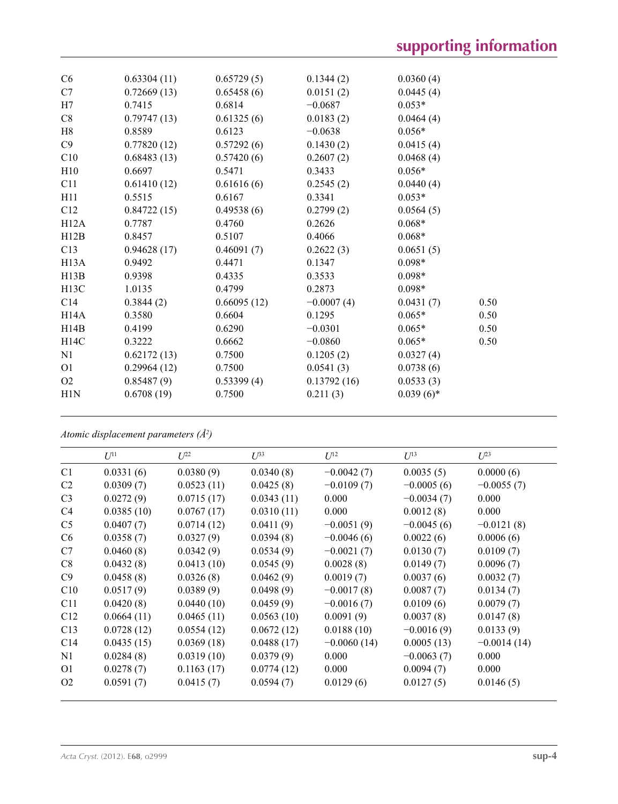| C6                | 0.63304(11) | 0.65729(5)  | 0.1344(2)    | 0.0360(4)    |      |
|-------------------|-------------|-------------|--------------|--------------|------|
| C7                | 0.72669(13) | 0.65458(6)  | 0.0151(2)    | 0.0445(4)    |      |
| H7                | 0.7415      | 0.6814      | $-0.0687$    | $0.053*$     |      |
| C8                | 0.79747(13) | 0.61325(6)  | 0.0183(2)    | 0.0464(4)    |      |
| H8                | 0.8589      | 0.6123      | $-0.0638$    | $0.056*$     |      |
| C9                | 0.77820(12) | 0.57292(6)  | 0.1430(2)    | 0.0415(4)    |      |
| C10               | 0.68483(13) | 0.57420(6)  | 0.2607(2)    | 0.0468(4)    |      |
| H10               | 0.6697      | 0.5471      | 0.3433       | $0.056*$     |      |
| C11               | 0.61410(12) | 0.61616(6)  | 0.2545(2)    | 0.0440(4)    |      |
| H11               | 0.5515      | 0.6167      | 0.3341       | $0.053*$     |      |
| C12               | 0.84722(15) | 0.49538(6)  | 0.2799(2)    | 0.0564(5)    |      |
| H12A              | 0.7787      | 0.4760      | 0.2626       | $0.068*$     |      |
| H12B              | 0.8457      | 0.5107      | 0.4066       | $0.068*$     |      |
| C13               | 0.94628(17) | 0.46091(7)  | 0.2622(3)    | 0.0651(5)    |      |
| H13A              | 0.9492      | 0.4471      | 0.1347       | $0.098*$     |      |
| H13B              | 0.9398      | 0.4335      | 0.3533       | $0.098*$     |      |
| H <sub>13</sub> C | 1.0135      | 0.4799      | 0.2873       | $0.098*$     |      |
| C <sub>14</sub>   | 0.3844(2)   | 0.66095(12) | $-0.0007(4)$ | 0.0431(7)    | 0.50 |
| H14A              | 0.3580      | 0.6604      | 0.1295       | $0.065*$     | 0.50 |
| H14B              | 0.4199      | 0.6290      | $-0.0301$    | $0.065*$     | 0.50 |
| H14C              | 0.3222      | 0.6662      | $-0.0860$    | $0.065*$     | 0.50 |
| N1                | 0.62172(13) | 0.7500      | 0.1205(2)    | 0.0327(4)    |      |
| O <sub>1</sub>    | 0.29964(12) | 0.7500      | 0.0541(3)    | 0.0738(6)    |      |
| O2                | 0.85487(9)  | 0.53399(4)  | 0.13792(16)  | 0.0533(3)    |      |
| H1N               | 0.6708(19)  | 0.7500      | 0.211(3)     | $0.039(6)$ * |      |
|                   |             |             |              |              |      |

*Atomic displacement parameters (Å2 )*

|                 | $U^{11}$   | $I^{22}$   | $\overline{L^{3}}$ | $U^{12}$      | $U^{13}$     | $U^{23}$      |
|-----------------|------------|------------|--------------------|---------------|--------------|---------------|
| C <sub>1</sub>  | 0.0331(6)  | 0.0380(9)  | 0.0340(8)          | $-0.0042(7)$  | 0.0035(5)    | 0.0000(6)     |
| C <sub>2</sub>  | 0.0309(7)  | 0.0523(11) | 0.0425(8)          | $-0.0109(7)$  | $-0.0005(6)$ | $-0.0055(7)$  |
| C <sub>3</sub>  | 0.0272(9)  | 0.0715(17) | 0.0343(11)         | 0.000         | $-0.0034(7)$ | 0.000         |
| C <sub>4</sub>  | 0.0385(10) | 0.0767(17) | 0.0310(11)         | 0.000         | 0.0012(8)    | 0.000         |
| C <sub>5</sub>  | 0.0407(7)  | 0.0714(12) | 0.0411(9)          | $-0.0051(9)$  | $-0.0045(6)$ | $-0.0121(8)$  |
| C <sub>6</sub>  | 0.0358(7)  | 0.0327(9)  | 0.0394(8)          | $-0.0046(6)$  | 0.0022(6)    | 0.0006(6)     |
| C7              | 0.0460(8)  | 0.0342(9)  | 0.0534(9)          | $-0.0021(7)$  | 0.0130(7)    | 0.0109(7)     |
| C8              | 0.0432(8)  | 0.0413(10) | 0.0545(9)          | 0.0028(8)     | 0.0149(7)    | 0.0096(7)     |
| C9              | 0.0458(8)  | 0.0326(8)  | 0.0462(9)          | 0.0019(7)     | 0.0037(6)    | 0.0032(7)     |
| C10             | 0.0517(9)  | 0.0389(9)  | 0.0498(9)          | $-0.0017(8)$  | 0.0087(7)    | 0.0134(7)     |
| C11             | 0.0420(8)  | 0.0440(10) | 0.0459(9)          | $-0.0016(7)$  | 0.0109(6)    | 0.0079(7)     |
| C12             | 0.0664(11) | 0.0465(11) | 0.0563(10)         | 0.0091(9)     | 0.0037(8)    | 0.0147(8)     |
| C13             | 0.0728(12) | 0.0554(12) | 0.0672(12)         | 0.0188(10)    | $-0.0016(9)$ | 0.0133(9)     |
| C <sub>14</sub> | 0.0435(15) | 0.0369(18) | 0.0488(17)         | $-0.0060(14)$ | 0.0005(13)   | $-0.0014(14)$ |
| N1              | 0.0284(8)  | 0.0319(10) | 0.0379(9)          | 0.000         | $-0.0063(7)$ | 0.000         |
| O <sub>1</sub>  | 0.0278(7)  | 0.1163(17) | 0.0774(12)         | 0.000         | 0.0094(7)    | 0.000         |
| O <sub>2</sub>  | 0.0591(7)  | 0.0415(7)  | 0.0594(7)          | 0.0129(6)     | 0.0127(5)    | 0.0146(5)     |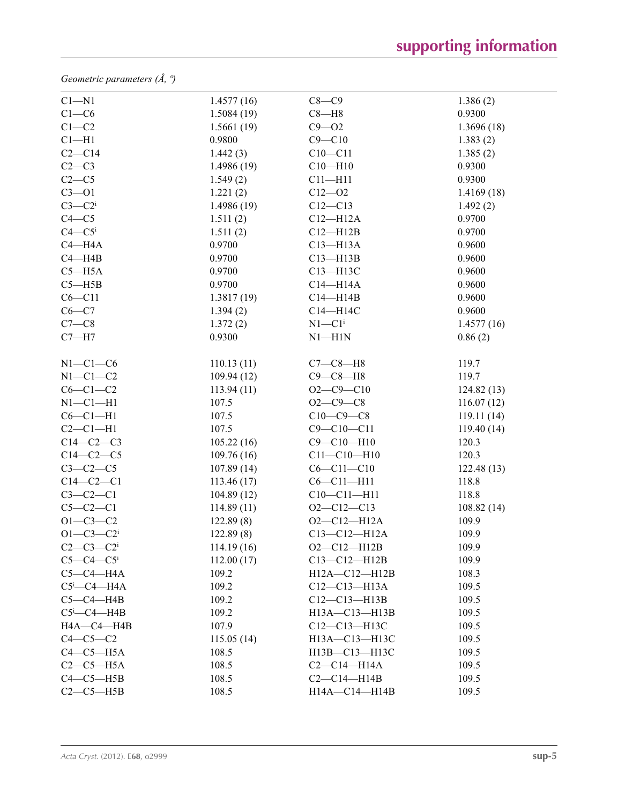*Geometric parameters (Å, º)*

| $C1 - N1$                     | 1.4577(16) | $C8-C9$                | 1.386(2)    |
|-------------------------------|------------|------------------------|-------------|
| $C1-C6$                       | 1.5084(19) | $C8 - H8$              | 0.9300      |
| $C1 - C2$                     | 1.5661(19) | $C9 - O2$              | 1.3696(18)  |
| $Cl-H1$                       | 0.9800     | $C9 - C10$             | 1.383(2)    |
| $C2-C14$                      | 1.442(3)   | $C10 - C11$            | 1.385(2)    |
| $C2-C3$                       | 1.4986(19) | $C10 - H10$            | 0.9300      |
| $C2-C5$                       | 1.549(2)   | $C11 - H11$            | 0.9300      |
| $C3 - 01$                     | 1.221(2)   | $C12 - 02$             | 1.4169(18)  |
| $C3-C2$                       | 1.4986(19) | $C12 - C13$            | 1.492(2)    |
| $C4 - C5$                     | 1.511(2)   | $C12 - H12A$           | 0.9700      |
| $C4 - C5$                     | 1.511(2)   | $C12 - H12B$           | 0.9700      |
| $C4 - H4A$                    | 0.9700     | $C13 - H13A$           | 0.9600      |
| $C4 - H4B$                    | 0.9700     | $C13 - H13B$           | 0.9600      |
| $C5 - H5A$                    | 0.9700     | C13-H13C               | 0.9600      |
| $C5 - H5B$                    | 0.9700     | $C14 - H14A$           | 0.9600      |
| $C6 - C11$                    | 1.3817(19) | $C14 - H14B$           | 0.9600      |
| $C6-C7$                       | 1.394(2)   | C14-H14C               | 0.9600      |
| $C7-C8$                       | 1.372(2)   | $N1 - C1$ <sup>i</sup> | 1.4577(16)  |
| $C7 - H7$                     | 0.9300     | $N1 - H1N$             | 0.86(2)     |
| $N1-C1-C6$                    | 110.13(11) | $C7-C8-H8$             | 119.7       |
| $N1-C1-C2$                    | 109.94(12) | $C9 - C8 - H8$         | 119.7       |
| $C6-C1-C2$                    | 113.94(11) | $O2 - C9 - C10$        | 124.82(13)  |
| $N1-C1-H1$                    | 107.5      | $O2 - C9 - C8$         | 116.07(12)  |
| $C6-C1-H1$                    | 107.5      | $C10-C9-C8$            | 119.11(14)  |
| $C2-C1-H1$                    | 107.5      | $C9 - C10 - C11$       | 119.40 (14) |
| $C14-C2-C3$                   | 105.22(16) | $C9 - C10 - H10$       | 120.3       |
| $C14-C2-C5$                   | 109.76(16) | $C11 - C10 - H10$      | 120.3       |
| $C3-C2-C5$                    | 107.89(14) | $C6 - C11 - C10$       | 122.48(13)  |
| $C14-C2-C1$                   | 113.46(17) | $C6 - C11 - H11$       | 118.8       |
| $C3-C2-C1$                    | 104.89(12) | $C10-C11-H11$          | 118.8       |
| $C5-C2-C1$                    | 114.89(11) | $O2 - C12 - C13$       | 108.82(14)  |
| $O1 - C3 - C2$                | 122.89(8)  | $O2 - C12 - H12A$      | 109.9       |
| $O1 - C3 - C2$                | 122.89(8)  | $C13 - C12 - H12A$     | 109.9       |
| $C2-C3-C2$ <sup>i</sup>       | 114.19(16) | $O2 - C12 - H12B$      | 109.9       |
| $C5-C4-C5$                    | 112.00(17) | $C13 - C12 - H12B$     | 109.9       |
| $C5-C4-H4A$                   | 109.2      | $H12A - C12 - H12B$    | 108.3       |
| $C5$ <sup>i</sup> - $C4$ -H4A | 109.2      | $C12 - C13 - H13A$     | 109.5       |
| $C5-C4-H4B$                   | 109.2      | $C12 - C13 - H13B$     | 109.5       |
| $C5$ i- $C4$ -H4B             | 109.2      | H13A-C13-H13B          | 109.5       |
| HA—C4—H4B                     | 107.9      | C12-C13-H13C           | 109.5       |
| $C4-C5-C2$                    | 115.05(14) | H13A-C13-H13C          | 109.5       |
| $C4-C5-H5A$                   | 108.5      | H13B-C13-H13C          | 109.5       |
| $C2-C5-H5A$                   | 108.5      | $C2-C14-H14A$          | 109.5       |
| $C4-C5-H5B$                   | 108.5      | $C2-C14-H14B$          | 109.5       |
| $C2-C5-H5B$                   | 108.5      | H14A-C14-H14B          | 109.5       |